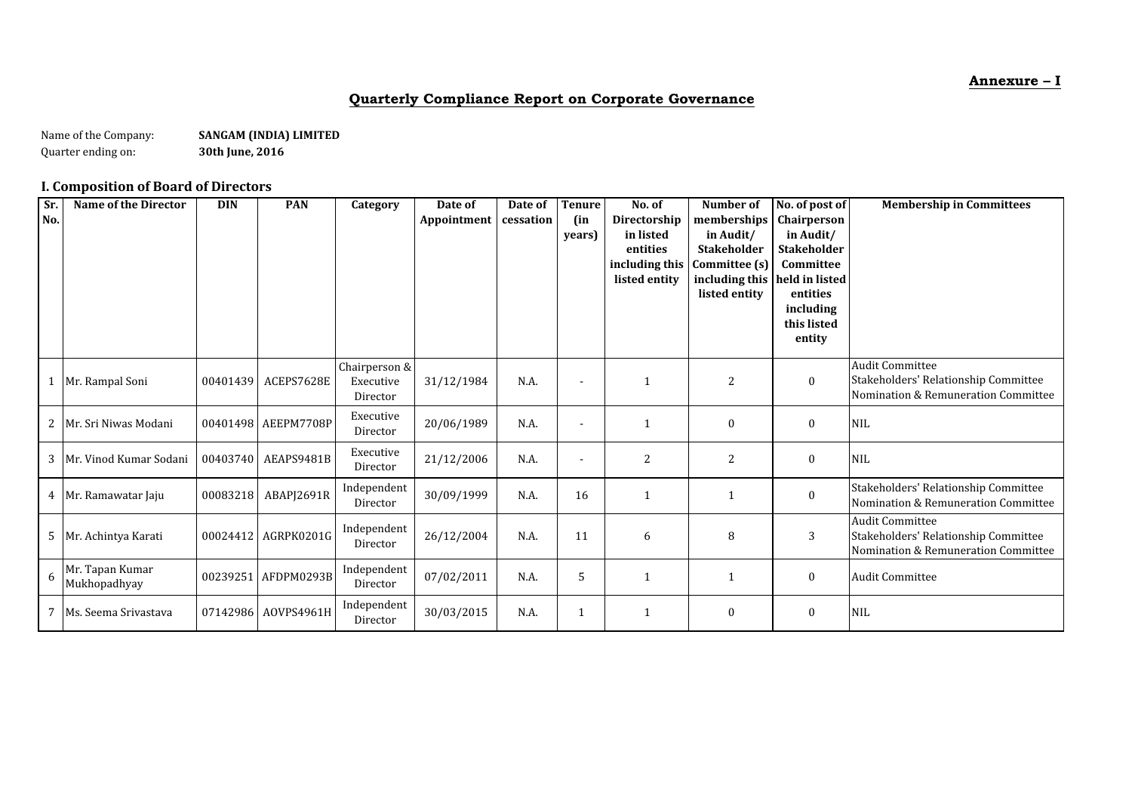**Annexure – I**

# **Quarterly Compliance Report on Corporate Governance**

Name of the Company: **SANGAM (INDIA) LIMITED**<br>Quarter ending on: **S30th June, 2016** Quarter ending on:

# **I. Composition of Board of Directors**

| Sr.<br>No. | <b>Name of the Director</b>     | <b>DIN</b> | <b>PAN</b>          | Category                               | Date of<br>Appointment | Date of<br>cessation | <b>Tenure</b><br>(in<br>years) | No. of<br>Directorship<br>in listed<br>entities<br>including this<br>listed entity | Number of<br>memberships<br>in Audit/<br><b>Stakeholder</b><br>Committee (s)<br>including this<br>listed entity | No. of post of<br>Chairperson<br>in Audit/<br><b>Stakeholder</b><br>Committee<br>held in listed<br>entities<br>including<br>this listed<br>entity | <b>Membership in Committees</b>                                                                       |
|------------|---------------------------------|------------|---------------------|----------------------------------------|------------------------|----------------------|--------------------------------|------------------------------------------------------------------------------------|-----------------------------------------------------------------------------------------------------------------|---------------------------------------------------------------------------------------------------------------------------------------------------|-------------------------------------------------------------------------------------------------------|
|            | Mr. Rampal Soni                 | 00401439   | ACEPS7628E          | Chairperson &<br>Executive<br>Director | 31/12/1984             | N.A.                 | $\blacksquare$                 |                                                                                    | $\overline{c}$                                                                                                  | $\boldsymbol{0}$                                                                                                                                  | <b>Audit Committee</b><br>Stakeholders' Relationship Committee<br>Nomination & Remuneration Committee |
| 2          | Mr. Sri Niwas Modani            |            | 00401498 AEEPM7708P | Executive<br>Director                  | 20/06/1989             | N.A.                 | $\overline{\phantom{a}}$       | 1                                                                                  | $\mathbf{0}$                                                                                                    | $\bf{0}$                                                                                                                                          | <b>NIL</b>                                                                                            |
| 3          | Mr. Vinod Kumar Sodani          | 00403740   | AEAPS9481B          | Executive<br>Director                  | 21/12/2006             | N.A.                 | $\overline{\phantom{a}}$       | $\overline{c}$                                                                     | 2                                                                                                               | $\bf{0}$                                                                                                                                          | <b>NIL</b>                                                                                            |
|            | 4 Mr. Ramawatar Jaju            | 00083218   | ABAPJ2691R          | Independent<br>Director                | 30/09/1999             | N.A.                 | 16                             | 1                                                                                  |                                                                                                                 | $\bf{0}$                                                                                                                                          | Stakeholders' Relationship Committee<br>Nomination & Remuneration Committee                           |
| 5          | Mr. Achintya Karati             | 00024412   | AGRPK0201G          | Independent<br>Director                | 26/12/2004             | N.A.                 | 11                             | 6                                                                                  | 8                                                                                                               | 3                                                                                                                                                 | <b>Audit Committee</b><br>Stakeholders' Relationship Committee<br>Nomination & Remuneration Committee |
| 6          | Mr. Tapan Kumar<br>Mukhopadhyay |            | 00239251 AFDPM0293B | Independent<br>Director                | 07/02/2011             | N.A.                 | 5                              | $\mathbf{1}$                                                                       |                                                                                                                 | $\bf{0}$                                                                                                                                          | <b>Audit Committee</b>                                                                                |
|            | 7   Ms. Seema Srivastava        | 07142986   | AOVPS4961H          | Independent<br>Director                | 30/03/2015             | N.A.                 |                                | $\mathbf{1}$                                                                       | 0                                                                                                               | $\bf{0}$                                                                                                                                          | <b>NIL</b>                                                                                            |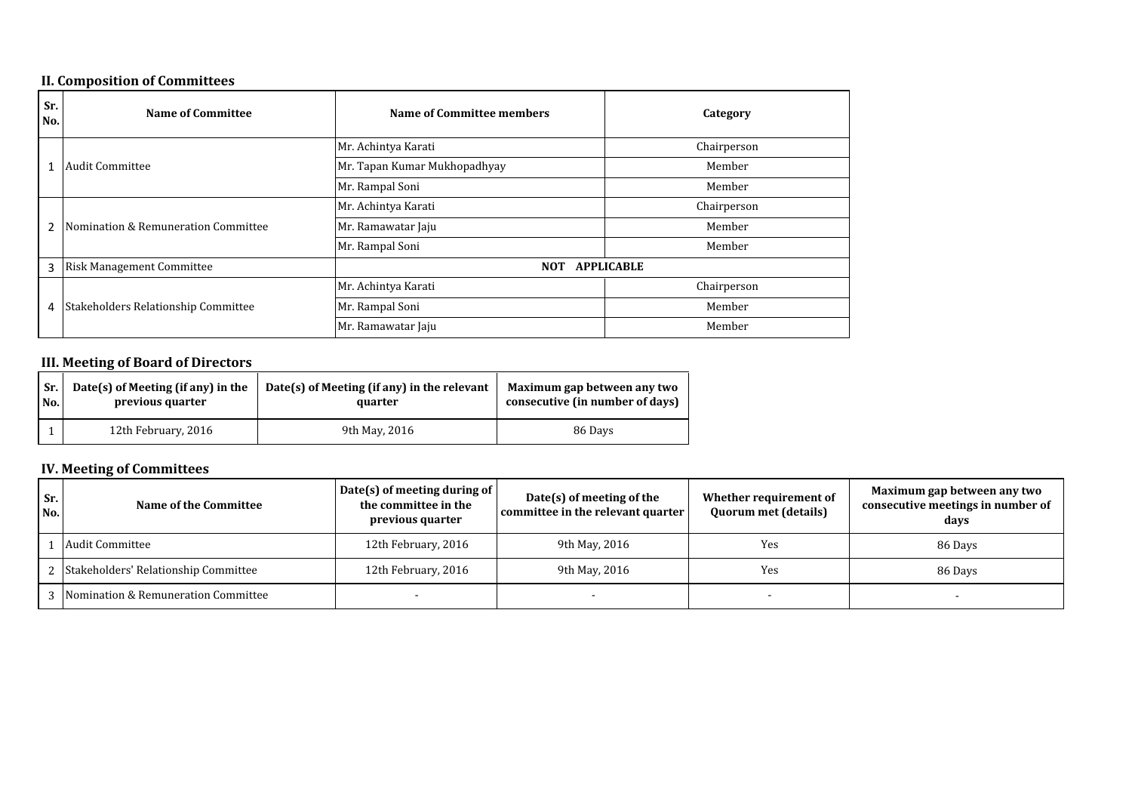# **II. Composition of Committees**

| Sr.<br>No.     | <b>Name of Committee</b>            | Name of Committee members       | Category    |  |
|----------------|-------------------------------------|---------------------------------|-------------|--|
|                |                                     | Mr. Achintya Karati             |             |  |
|                | <b>Audit Committee</b>              | Mr. Tapan Kumar Mukhopadhyay    |             |  |
|                |                                     | Mr. Rampal Soni                 | Member      |  |
|                |                                     | Mr. Achintya Karati             | Chairperson |  |
| $\overline{2}$ | Nomination & Remuneration Committee | Mr. Ramawatar Jaju              | Member      |  |
|                |                                     | Mr. Rampal Soni                 | Member      |  |
| 3              | <b>Risk Management Committee</b>    | <b>NOT</b><br><b>APPLICABLE</b> |             |  |
|                |                                     | Mr. Achintya Karati             | Chairperson |  |
| 4              | Stakeholders Relationship Committee | Mr. Rampal Soni                 | Member      |  |
|                |                                     | Mr. Ramawatar Jaju              | Member      |  |

# **III. Meeting of Board of Directors**

| Sr. | Date(s) of Meeting (if any) in the | Date(s) of Meeting (if any) in the relevant | Maximum gap between any two     |
|-----|------------------------------------|---------------------------------------------|---------------------------------|
| No. | previous quarter                   | quarter                                     | consecutive (in number of days) |
|     | 12th February, 2016                | 9th May, 2016                               | 86 Days                         |

# **IV. Meeting of Committees**

| Sr.<br>No. | Name of the Committee                  | Date(s) of meeting during of<br>the committee in the<br>previous quarter | Date(s) of meeting of the<br>committee in the relevant quarter | Whether requirement of<br><b>Quorum met (details)</b> | Maximum gap between any two<br>consecutive meetings in number of<br>days |
|------------|----------------------------------------|--------------------------------------------------------------------------|----------------------------------------------------------------|-------------------------------------------------------|--------------------------------------------------------------------------|
|            | Audit Committee                        | 12th February, 2016                                                      | 9th May, 2016                                                  | Yes                                                   | 86 Days                                                                  |
|            | 2 Stakeholders' Relationship Committee | 12th February, 2016                                                      | 9th May, 2016                                                  | Yes                                                   | 86 Days                                                                  |
|            | 3 Nomination & Remuneration Committee  |                                                                          |                                                                |                                                       |                                                                          |